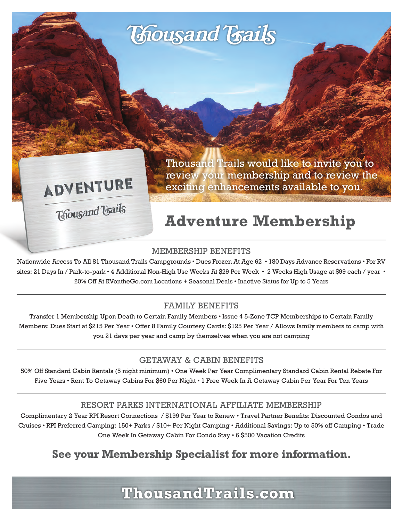# **Thousand Trails**

ADVENTURE

**Thousand Trails** 

Thousand Trails would like to invite you to review your membership and to review the exciting enhancements available to you.

# **Adventure Membership**

#### MEMBERSHIP BENEFITS

Nationwide Access To All 81 Thousand Trails Campgrounds • Dues Frozen At Age 62 • 180 Days Advance Reservations • For RV sites: 21 Days In / Park-to-park • 4 Additional Non-High Use Weeks At \$29 Per Week • 2 Weeks High Usage at \$99 each / year • 20% Off At RVontheGo.com Locations + Seasonal Deals • Inactive Status for Up to 5 Years

#### FAMILY BENEFITS

Transfer 1 Membership Upon Death to Certain Family Members • Issue 4 5-Zone TCP Memberships to Certain Family Members: Dues Start at \$215 Per Year • Offer 8 Family Courtesy Cards: \$125 Per Year / Allows family members to camp with you 21 days per year and camp by themselves when you are not camping

#### GETAWAY & CABIN BENEFITS

50% Off Standard Cabin Rentals (5 night minimum) • One Week Per Year Complimentary Standard Cabin Rental Rebate For Five Years • Rent To Getaway Cabins For \$60 Per Night • 1 Free Week In A Getaway Cabin Per Year For Ten Years

#### RESORT PARKS INTERNATIONAL AFFILIATE MEMBERSHIP

Complimentary 2 Year RPI Resort Connections / \$199 Per Year to Renew • Travel Partner Benefits: Discounted Condos and Cruises • RPI Preferred Camping: 150+ Parks / \$10+ Per Night Camping • Additional Savings: Up to 50% off Camping • Trade One Week In Getaway Cabin For Condo Stay • 6 \$500 Vacation Credits

## **See your Membership Specialist for more information.**

**ThousandTrails.com**